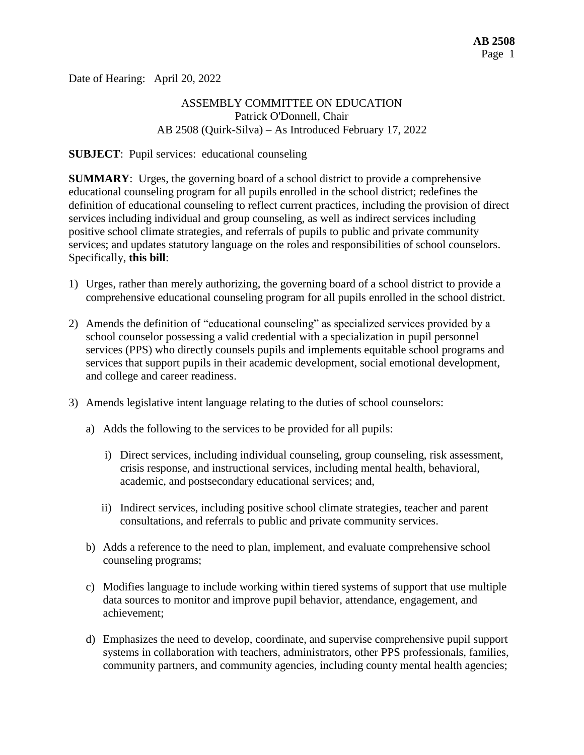Date of Hearing: April 20, 2022

# ASSEMBLY COMMITTEE ON EDUCATION Patrick O'Donnell, Chair AB 2508 (Quirk-Silva) – As Introduced February 17, 2022

#### **SUBJECT**: Pupil services: educational counseling

**SUMMARY**: Urges, the governing board of a school district to provide a comprehensive educational counseling program for all pupils enrolled in the school district; redefines the definition of educational counseling to reflect current practices, including the provision of direct services including individual and group counseling, as well as indirect services including positive school climate strategies, and referrals of pupils to public and private community services; and updates statutory language on the roles and responsibilities of school counselors. Specifically, **this bill**:

- 1) Urges, rather than merely authorizing, the governing board of a school district to provide a comprehensive educational counseling program for all pupils enrolled in the school district.
- 2) Amends the definition of "educational counseling" as specialized services provided by a school counselor possessing a valid credential with a specialization in pupil personnel services (PPS) who directly counsels pupils and implements equitable school programs and services that support pupils in their academic development, social emotional development, and college and career readiness.
- 3) Amends legislative intent language relating to the duties of school counselors:
	- a) Adds the following to the services to be provided for all pupils:
		- i) Direct services, including individual counseling, group counseling, risk assessment, crisis response, and instructional services, including mental health, behavioral, academic, and postsecondary educational services; and,
		- ii) Indirect services, including positive school climate strategies, teacher and parent consultations, and referrals to public and private community services.
	- b) Adds a reference to the need to plan, implement, and evaluate comprehensive school counseling programs;
	- c) Modifies language to include working within tiered systems of support that use multiple data sources to monitor and improve pupil behavior, attendance, engagement, and achievement;
	- d) Emphasizes the need to develop, coordinate, and supervise comprehensive pupil support systems in collaboration with teachers, administrators, other PPS professionals, families, community partners, and community agencies, including county mental health agencies;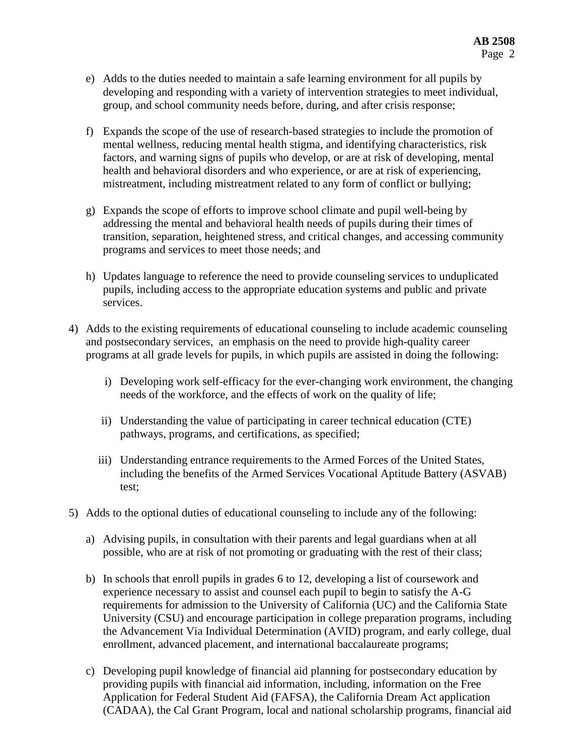- e) Adds to the duties needed to maintain a safe learning environment for all pupils by developing and responding with a variety of intervention strategies to meet individual, group, and school community needs before, during, and after crisis response;
- f) Expands the scope of the use of research-based strategies to include the promotion of mental wellness, reducing mental health stigma, and identifying characteristics, risk factors, and warning signs of pupils who develop, or are at risk of developing, mental health and behavioral disorders and who experience, or are at risk of experiencing, mistreatment, including mistreatment related to any form of conflict or bullying;
- g) Expands the scope of efforts to improve school climate and pupil well-being by addressing the mental and behavioral health needs of pupils during their times of transition, separation, heightened stress, and critical changes, and accessing community programs and services to meet those needs; and
- h) Updates language to reference the need to provide counseling services to unduplicated pupils, including access to the appropriate education systems and public and private services.
- 4) Adds to the existing requirements of educational counseling to include academic counseling and postsecondary services, an emphasis on the need to provide high-quality career programs at all grade levels for pupils, in which pupils are assisted in doing the following:
	- i) Developing work self-efficacy for the ever-changing work environment, the changing needs of the workforce, and the effects of work on the quality of life;
	- ii) Understanding the value of participating in career technical education (CTE) pathways, programs, and certifications, as specified;
	- iii) Understanding entrance requirements to the Armed Forces of the United States, including the benefits of the Armed Services Vocational Aptitude Battery (ASVAB) test;
- 5) Adds to the optional duties of educational counseling to include any of the following:
	- a) Advising pupils, in consultation with their parents and legal guardians when at all possible, who are at risk of not promoting or graduating with the rest of their class;
	- b) In schools that enroll pupils in grades 6 to 12, developing a list of coursework and experience necessary to assist and counsel each pupil to begin to satisfy the A-G requirements for admission to the University of California (UC) and the California State University (CSU) and encourage participation in college preparation programs, including the Advancement Via Individual Determination (AVID) program, and early college, dual enrollment, advanced placement, and international baccalaureate programs;
	- c) Developing pupil knowledge of financial aid planning for postsecondary education by providing pupils with financial aid information, including, information on the Free Application for Federal Student Aid (FAFSA), the California Dream Act application (CADAA), the Cal Grant Program, local and national scholarship programs, financial aid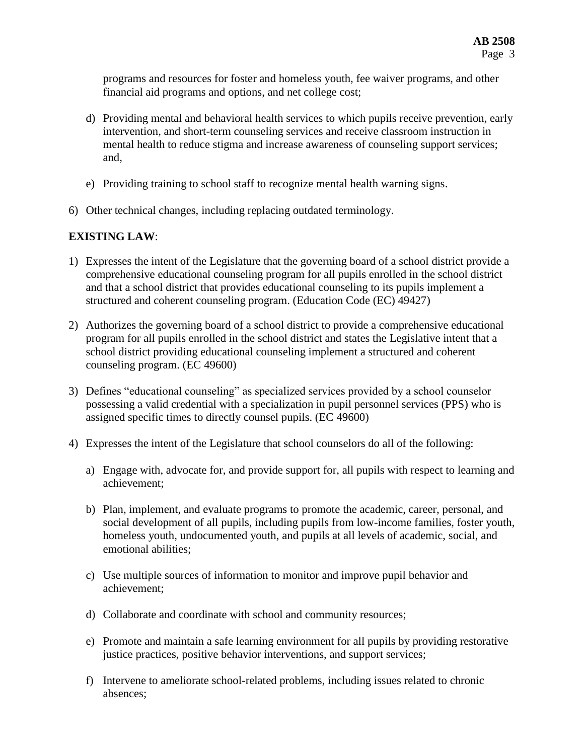programs and resources for foster and homeless youth, fee waiver programs, and other financial aid programs and options, and net college cost;

- d) Providing mental and behavioral health services to which pupils receive prevention, early intervention, and short-term counseling services and receive classroom instruction in mental health to reduce stigma and increase awareness of counseling support services; and,
- e) Providing training to school staff to recognize mental health warning signs.
- 6) Other technical changes, including replacing outdated terminology.

# **EXISTING LAW**:

- 1) Expresses the intent of the Legislature that the governing board of a school district provide a comprehensive educational counseling program for all pupils enrolled in the school district and that a school district that provides educational counseling to its pupils implement a structured and coherent counseling program. (Education Code (EC) 49427)
- 2) Authorizes the governing board of a school district to provide a comprehensive educational program for all pupils enrolled in the school district and states the Legislative intent that a school district providing educational counseling implement a structured and coherent counseling program. (EC 49600)
- 3) Defines "educational counseling" as specialized services provided by a school counselor possessing a valid credential with a specialization in pupil personnel services (PPS) who is assigned specific times to directly counsel pupils. (EC 49600)
- 4) Expresses the intent of the Legislature that school counselors do all of the following:
	- a) Engage with, advocate for, and provide support for, all pupils with respect to learning and achievement;
	- b) Plan, implement, and evaluate programs to promote the academic, career, personal, and social development of all pupils, including pupils from low-income families, foster youth, homeless youth, undocumented youth, and pupils at all levels of academic, social, and emotional abilities;
	- c) Use multiple sources of information to monitor and improve pupil behavior and achievement;
	- d) Collaborate and coordinate with school and community resources;
	- e) Promote and maintain a safe learning environment for all pupils by providing restorative justice practices, positive behavior interventions, and support services;
	- f) Intervene to ameliorate school-related problems, including issues related to chronic absences;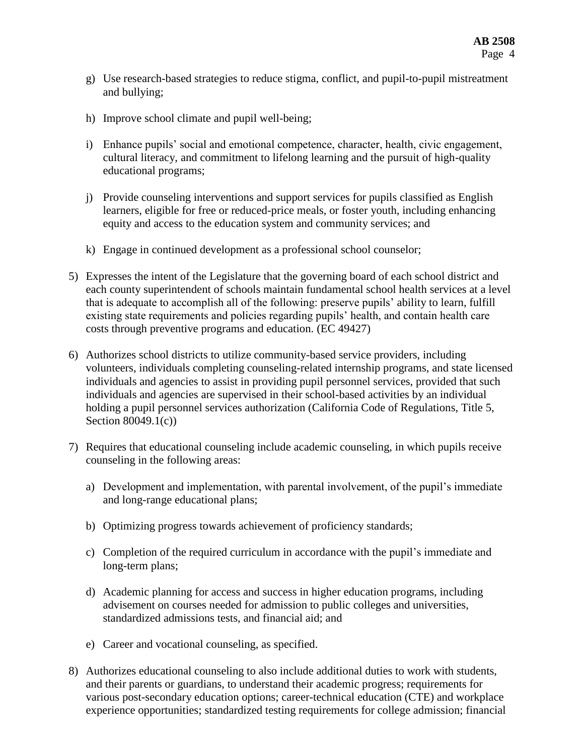- g) Use research-based strategies to reduce stigma, conflict, and pupil-to-pupil mistreatment and bullying;
- h) Improve school climate and pupil well-being;
- i) Enhance pupils' social and emotional competence, character, health, civic engagement, cultural literacy, and commitment to lifelong learning and the pursuit of high-quality educational programs;
- j) Provide counseling interventions and support services for pupils classified as English learners, eligible for free or reduced-price meals, or foster youth, including enhancing equity and access to the education system and community services; and
- k) Engage in continued development as a professional school counselor;
- 5) Expresses the intent of the Legislature that the governing board of each school district and each county superintendent of schools maintain fundamental school health services at a level that is adequate to accomplish all of the following: preserve pupils' ability to learn, fulfill existing state requirements and policies regarding pupils' health, and contain health care costs through preventive programs and education. (EC 49427)
- 6) Authorizes school districts to utilize community-based service providers, including volunteers, individuals completing counseling-related internship programs, and state licensed individuals and agencies to assist in providing pupil personnel services, provided that such individuals and agencies are supervised in their school-based activities by an individual holding a pupil personnel services authorization (California Code of Regulations, Title 5, Section 80049.1(c))
- 7) Requires that educational counseling include academic counseling, in which pupils receive counseling in the following areas:
	- a) Development and implementation, with parental involvement, of the pupil's immediate and long-range educational plans;
	- b) Optimizing progress towards achievement of proficiency standards;
	- c) Completion of the required curriculum in accordance with the pupil's immediate and long-term plans;
	- d) Academic planning for access and success in higher education programs, including advisement on courses needed for admission to public colleges and universities, standardized admissions tests, and financial aid; and
	- e) Career and vocational counseling, as specified.
- 8) Authorizes educational counseling to also include additional duties to work with students, and their parents or guardians, to understand their academic progress; requirements for various post-secondary education options; career-technical education (CTE) and workplace experience opportunities; standardized testing requirements for college admission; financial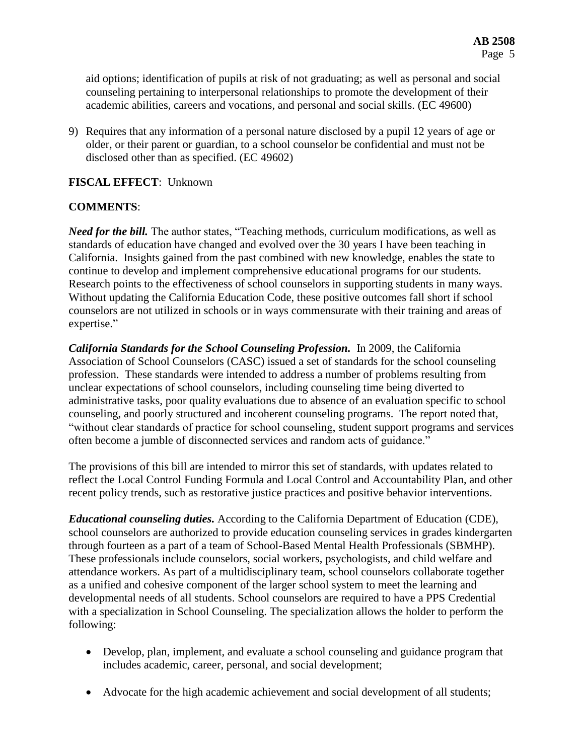aid options; identification of pupils at risk of not graduating; as well as personal and social counseling pertaining to interpersonal relationships to promote the development of their academic abilities, careers and vocations, and personal and social skills. (EC 49600)

9) Requires that any information of a personal nature disclosed by a pupil 12 years of age or older, or their parent or guardian, to a school counselor be confidential and must not be disclosed other than as specified. (EC 49602)

### **FISCAL EFFECT**: Unknown

### **COMMENTS**:

*Need for the bill.* The author states, "Teaching methods, curriculum modifications, as well as standards of education have changed and evolved over the 30 years I have been teaching in California. Insights gained from the past combined with new knowledge, enables the state to continue to develop and implement comprehensive educational programs for our students. Research points to the effectiveness of school counselors in supporting students in many ways. Without updating the California Education Code, these positive outcomes fall short if school counselors are not utilized in schools or in ways commensurate with their training and areas of expertise."

*California Standards for the School Counseling Profession.* In 2009, the California Association of School Counselors (CASC) issued a set of standards for the school counseling profession. These standards were intended to address a number of problems resulting from unclear expectations of school counselors, including counseling time being diverted to administrative tasks, poor quality evaluations due to absence of an evaluation specific to school counseling, and poorly structured and incoherent counseling programs. The report noted that, "without clear standards of practice for school counseling, student support programs and services often become a jumble of disconnected services and random acts of guidance."

The provisions of this bill are intended to mirror this set of standards, with updates related to reflect the Local Control Funding Formula and Local Control and Accountability Plan, and other recent policy trends, such as restorative justice practices and positive behavior interventions.

*Educational counseling duties.* According to the California Department of Education (CDE), school counselors are authorized to provide education counseling services in grades kindergarten through fourteen as a part of a team of School-Based Mental Health Professionals (SBMHP). These professionals include counselors, social workers, psychologists, and child welfare and attendance workers. As part of a multidisciplinary team, school counselors collaborate together as a unified and cohesive component of the larger school system to meet the learning and developmental needs of all students. School counselors are required to have a PPS Credential with a specialization in School Counseling. The specialization allows the holder to perform the following:

- Develop, plan, implement, and evaluate a school counseling and guidance program that includes academic, career, personal, and social development;
- Advocate for the high academic achievement and social development of all students;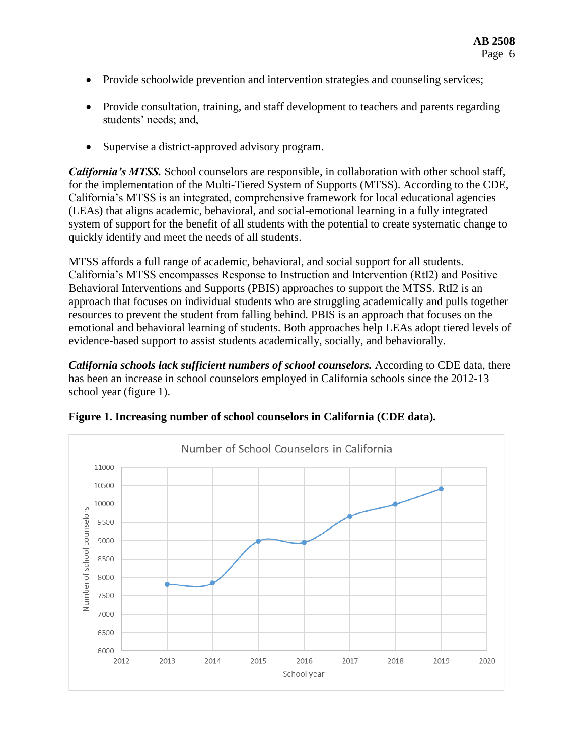- Provide schoolwide prevention and intervention strategies and counseling services;
- Provide consultation, training, and staff development to teachers and parents regarding students' needs; and,
- Supervise a district-approved advisory program.

*California's MTSS.* School counselors are responsible, in collaboration with other school staff, for the implementation of the Multi-Tiered System of Supports (MTSS). According to the CDE, California's MTSS is an integrated, comprehensive framework for local educational agencies (LEAs) that aligns academic, behavioral, and social-emotional learning in a fully integrated system of support for the benefit of all students with the potential to create systematic change to quickly identify and meet the needs of all students.

MTSS affords a full range of academic, behavioral, and social support for all students. California's MTSS encompasses Response to Instruction and Intervention (RtI2) and Positive Behavioral Interventions and Supports (PBIS) approaches to support the MTSS. RtI2 is an approach that focuses on individual students who are struggling academically and pulls together resources to prevent the student from falling behind. PBIS is an approach that focuses on the emotional and behavioral learning of students. Both approaches help LEAs adopt tiered levels of evidence-based support to assist students academically, socially, and behaviorally.

*California schools lack sufficient numbers of school counselors.* According to CDE data, there has been an increase in school counselors employed in California schools since the 2012-13 school year (figure 1).



**Figure 1. Increasing number of school counselors in California (CDE data).**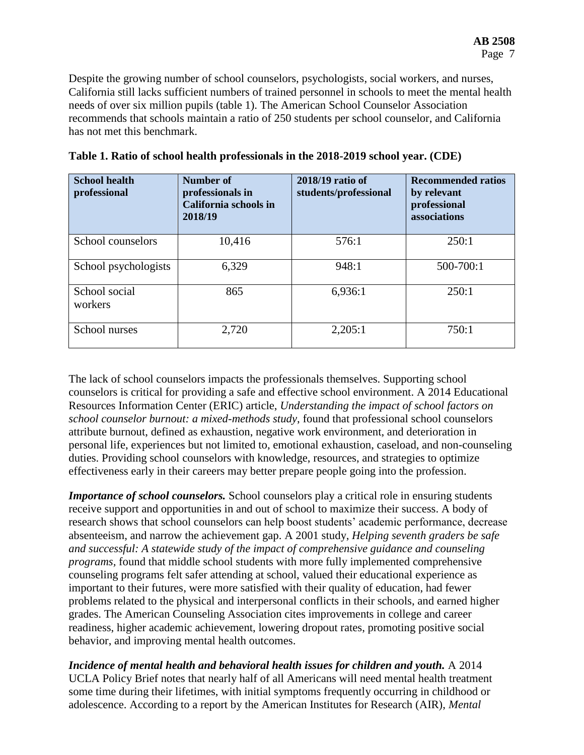Despite the growing number of school counselors, psychologists, social workers, and nurses, California still lacks sufficient numbers of trained personnel in schools to meet the mental health needs of over six million pupils (table 1). The American School Counselor Association recommends that schools maintain a ratio of 250 students per school counselor, and California has not met this benchmark.

| <b>School health</b><br>professional | Number of<br>professionals in<br>California schools in<br>2018/19 | 2018/19 ratio of<br>students/professional | <b>Recommended ratios</b><br>by relevant<br>professional<br>associations |
|--------------------------------------|-------------------------------------------------------------------|-------------------------------------------|--------------------------------------------------------------------------|
| School counselors                    | 10,416                                                            | 576:1                                     | 250:1                                                                    |
| School psychologists                 | 6,329                                                             | 948:1                                     | 500-700:1                                                                |
| School social<br>workers             | 865                                                               | 6,936:1                                   | 250:1                                                                    |
| School nurses                        | 2,720                                                             | 2,205:1                                   | 750:1                                                                    |

| Table 1. Ratio of school health professionals in the 2018-2019 school year. (CDE) |  |  |  |
|-----------------------------------------------------------------------------------|--|--|--|
|-----------------------------------------------------------------------------------|--|--|--|

The lack of school counselors impacts the professionals themselves. Supporting school counselors is critical for providing a safe and effective school environment. A 2014 Educational Resources Information Center (ERIC) article, *Understanding the impact of school factors on school counselor burnout: a mixed-methods study*, found that professional school counselors attribute burnout, defined as exhaustion, negative work environment, and deterioration in personal life, experiences but not limited to, emotional exhaustion, caseload, and non-counseling duties. Providing school counselors with knowledge, resources, and strategies to optimize effectiveness early in their careers may better prepare people going into the profession.

*Importance of school counselors.* School counselors play a critical role in ensuring students receive support and opportunities in and out of school to maximize their success. A body of research shows that school counselors can help boost students' academic performance, decrease absenteeism, and narrow the achievement gap. A 2001 study, *Helping seventh graders be safe and successful: A statewide study of the impact of comprehensive guidance and counseling programs,* found that middle school students with more fully implemented comprehensive counseling programs felt safer attending at school, valued their educational experience as important to their futures, were more satisfied with their quality of education, had fewer problems related to the physical and interpersonal conflicts in their schools, and earned higher grades. The American Counseling Association cites improvements in college and career readiness, higher academic achievement, lowering dropout rates, promoting positive social behavior, and improving mental health outcomes.

*Incidence of mental health and behavioral health issues for children and youth.* A 2014 UCLA Policy Brief notes that nearly half of all Americans will need mental health treatment some time during their lifetimes, with initial symptoms frequently occurring in childhood or adolescence. According to a report by the American Institutes for Research (AIR), *Mental*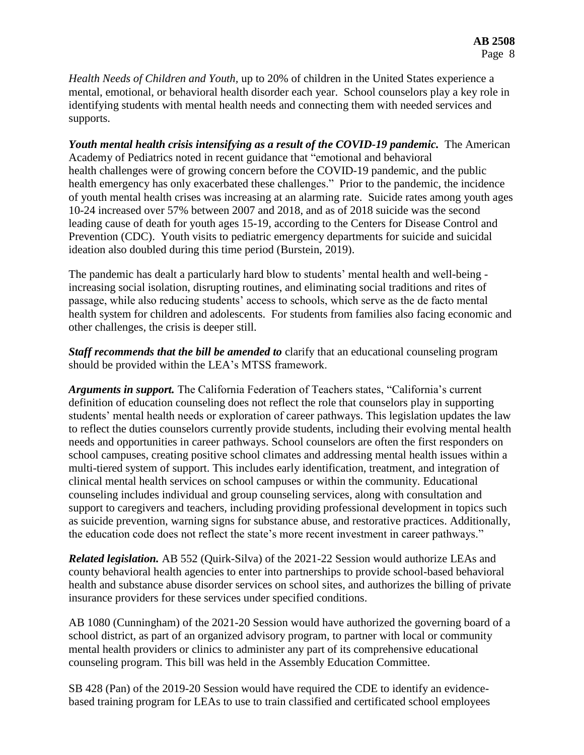*Health Needs of Children and Youth,* up to 20% of children in the United States experience a mental, emotional, or behavioral health disorder each year. School counselors play a key role in identifying students with mental health needs and connecting them with needed services and supports.

*Youth mental health crisis intensifying as a result of the COVID-19 pandemic.* The American Academy of Pediatrics noted in recent guidance that "emotional and behavioral health challenges were of growing concern before the COVID-19 pandemic, and the public health emergency has only exacerbated these challenges." Prior to the pandemic, the incidence of youth mental health crises was increasing at an alarming rate. Suicide rates among youth ages 10-24 increased over 57% between 2007 and 2018, and as of 2018 suicide was the second leading cause of death for youth ages 15-19, according to the Centers for Disease Control and Prevention (CDC). Youth visits to pediatric emergency departments for suicide and suicidal ideation also doubled during this time period (Burstein, 2019).

The pandemic has dealt a particularly hard blow to students' mental health and well-being increasing social isolation, disrupting routines, and eliminating social traditions and rites of passage, while also reducing students' access to schools, which serve as the de facto mental health system for children and adolescents. For students from families also facing economic and other challenges, the crisis is deeper still.

*Staff recommends that the bill be amended to* clarify that an educational counseling program should be provided within the LEA's MTSS framework.

*Arguments in support.* The California Federation of Teachers states, "California's current definition of education counseling does not reflect the role that counselors play in supporting students' mental health needs or exploration of career pathways. This legislation updates the law to reflect the duties counselors currently provide students, including their evolving mental health needs and opportunities in career pathways. School counselors are often the first responders on school campuses, creating positive school climates and addressing mental health issues within a multi-tiered system of support. This includes early identification, treatment, and integration of clinical mental health services on school campuses or within the community. Educational counseling includes individual and group counseling services, along with consultation and support to caregivers and teachers, including providing professional development in topics such as suicide prevention, warning signs for substance abuse, and restorative practices. Additionally, the education code does not reflect the state's more recent investment in career pathways."

*Related legislation.* AB 552 (Quirk-Silva) of the 2021-22 Session would authorize LEAs and county behavioral health agencies to enter into partnerships to provide school-based behavioral health and substance abuse disorder services on school sites, and authorizes the billing of private insurance providers for these services under specified conditions.

AB 1080 (Cunningham) of the 2021-20 Session would have authorized the governing board of a school district, as part of an organized advisory program, to partner with local or community mental health providers or clinics to administer any part of its comprehensive educational counseling program. This bill was held in the Assembly Education Committee.

SB 428 (Pan) of the 2019-20 Session would have required the CDE to identify an evidencebased training program for LEAs to use to train classified and certificated school employees